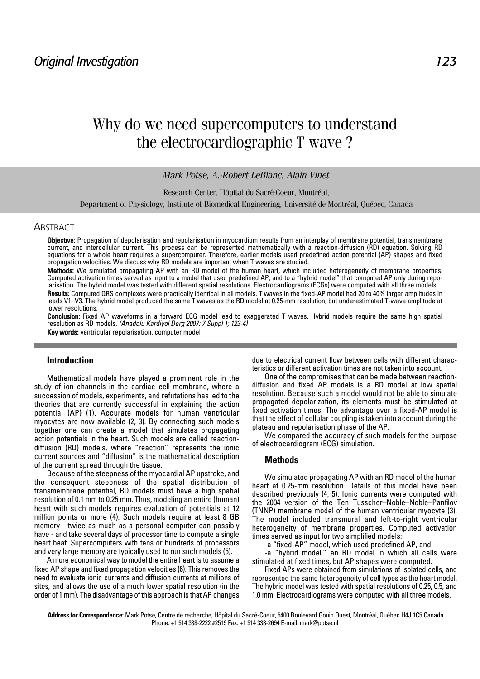# Why do we need supercomputers to understand the electrocardiographic T wave ?

## *Mark Potse, A.-Robert LeBlanc, Alain Vinet*

Research Center, Hôpital du Sacré-Coeur, Montréal,

Department of Physiology, Institute of Biomedical Engineering, Université de Montréal, Québec, Canada

#### **ABSTRACT**

Objective: Propagation of depolarisation and repolarisation in myocardium results from an interplay of membrane potential, transmembrane current, and intercellular current. This process can be represented mathematically with a reaction-diffusion (RD) equation. Solving RD equations for a whole heart requires a supercomputer. Therefore, earlier models used predefined action potential (AP) shapes and fixed propagation velocities. We discuss why RD models are important when T waves are studied.

Methods: We simulated propagating AP with an RD model of the human heart, which included heterogeneity of membrane properties. Computed activation times served as input to a model that used predefined AP, and to a "hybrid model" that computed AP only during repolarisation. The hybrid model was tested with different spatial resolutions. Electrocardiograms (ECGs) were computed with all three models. Results: Computed QRS complexes were practically identical in all models. T waves in the fixed-AP model had 20 to 40% larger amplitudes in leads V1–V3. The hybrid model produced the same T waves as the RD model at 0.25-mm resolution, but underestimated T-wave amplitude at lower resolutions.

Conclusion: Fixed AP waveforms in a forward ECG model lead to exaggerated T waves. Hybrid models require the same high spatial resolution as RD models. (Anadolu Kardiyol Derg 2007: 7 Suppl 1; 123-4)

Key words: ventricular repolarisation, computer model

## **Introduction**

Mathematical models have played a prominent role in the study of ion channels in the cardiac cell membrane, where a succession of models, experiments, and refutations has led to the theories that are currently successful in explaining the action potential (AP) (1). Accurate models for human ventricular myocytes are now available (2, 3). By connecting such models together one can create a model that simulates propagating action potentials in the heart. Such models are called reactiondiffusion (RD) models, where "reaction" represents the ionic current sources and "diffusion" is the mathematical description of the current spread through the tissue.

Because of the steepness of the myocardial AP upstroke, and the consequent steepness of the spatial distribution of transmembrane potential, RD models must have a high spatial resolution of 0.1 mm to 0.25 mm. Thus, modeling an entire (human) heart with such models requires evaluation of potentials at 12 million points or more (4). Such models require at least 8 GB memory - twice as much as a personal computer can possibly have - and take several days of processor time to compute a single heart beat. Supercomputers with tens or hundreds of processors and very large memory are typically used to run such models (5).

A more economical way to model the entire heart is to assume a fixed AP shape and fixed propagation velocities (6). This removes the need to evaluate ionic currents and diffusion currents at millions of sites, and allows the use of a much lower spatial resolution (in the order of 1 mm). The disadvantage of this approach is that AP changes

due to electrical current flow between cells with different characteristics or different activation times are not taken into account.

One of the compromises that can be made between reactiondiffusion and fixed AP models is a RD model at low spatial resolution. Because such a model would not be able to simulate propagated depolarization, its elements must be stimulated at fixed activation times. The advantage over a fixed-AP model is that the effect of cellular coupling is taken into account during the plateau and repolarisation phase of the AP.

We compared the accuracy of such models for the purpose of electrocardiogram (ECG) simulation.

#### **Methods**

We simulated propagating AP with an RD model of the human heart at 0.25-mm resolution. Details of this model have been described previously (4, 5). Ionic currents were computed with the 2004 version of the Ten Tusscher–Noble–Noble–Panfilov (TNNP) membrane model of the human ventricular myocyte (3). The model included transmural and left-to-right ventricular heterogeneity of membrane properties. Computed activation times served as input for two simplified models:

-a "fixed-AP" model, which used predefined AP, and

-a "hybrid model," an RD model in which all cells were stimulated at fixed times, but AP shapes were computed.

Fixed APs were obtained from simulations of isolated cells, and represented the same heterogeneity of cell types as the heart model. The hybrid model was tested with spatial resolutions of 0.25, 0.5, and 1.0 mm. Electrocardiograms were computed with all three models.

**Address for Correspondence:** Mark Potse, Centre de recherche, Hôpital du Sacré-Coeur, 5400 Boulevard Gouin Ouest, Montréal, Québec H4J 1C5 Canada Phone: +1 514 338-2222 #2519 Fax: +1 514 338-2694 E-mail: mark@potse.nl